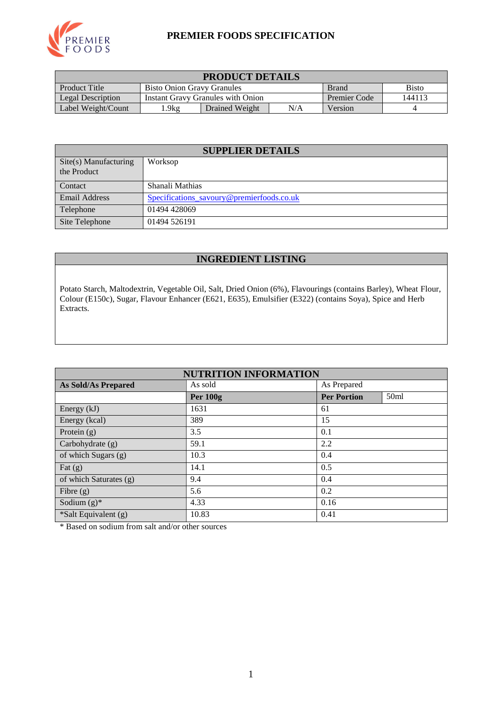

#### **PREMIER FOODS SPECIFICATION**

| <b>PRODUCT DETAILS</b>   |                                                                   |                                   |  |  |        |
|--------------------------|-------------------------------------------------------------------|-----------------------------------|--|--|--------|
| <b>Product Title</b>     | <b>Bisto</b><br><b>Bisto Onion Gravy Granules</b><br><b>Brand</b> |                                   |  |  |        |
| <b>Legal Description</b> |                                                                   | Instant Gravy Granules with Onion |  |  | 144113 |
| Label Weight/Count       | N/A<br>.9kg<br>Drained Weight<br>Version                          |                                   |  |  |        |

| <b>SUPPLIER DETAILS</b>              |                                           |  |  |
|--------------------------------------|-------------------------------------------|--|--|
| Site(s) Manufacturing<br>the Product | Worksop                                   |  |  |
| Contact                              | Shanali Mathias                           |  |  |
| <b>Email Address</b>                 | Specifications sayoury@premierfoods.co.uk |  |  |
| Telephone                            | 01494 428069                              |  |  |
| Site Telephone                       | 01494 526191                              |  |  |

## **INGREDIENT LISTING**

Potato Starch, Maltodextrin, Vegetable Oil, Salt, Dried Onion (6%), Flavourings (contains Barley), Wheat Flour, Colour (E150c), Sugar, Flavour Enhancer (E621, E635), Emulsifier (E322) (contains Soya), Spice and Herb Extracts.

| <b>NUTRITION INFORMATION</b> |                 |                            |  |  |  |
|------------------------------|-----------------|----------------------------|--|--|--|
| <b>As Sold/As Prepared</b>   | As sold         | As Prepared                |  |  |  |
|                              | <b>Per 100g</b> | 50ml<br><b>Per Portion</b> |  |  |  |
| Energy (kJ)                  | 1631            | 61                         |  |  |  |
| Energy (kcal)                | 389             | 15                         |  |  |  |
| Protein $(g)$                | 3.5             | 0.1                        |  |  |  |
| Carbohydrate (g)             | 59.1            | 2.2                        |  |  |  |
| of which Sugars (g)          | 10.3            | 0.4                        |  |  |  |
| Fat $(g)$                    | 14.1            | 0.5                        |  |  |  |
| of which Saturates (g)       | 9.4             | 0.4                        |  |  |  |
| Fibre $(g)$                  | 5.6             | 0.2                        |  |  |  |
| Sodium $(g)^*$               | 4.33            | 0.16                       |  |  |  |
| *Salt Equivalent (g)         | 10.83           | 0.41                       |  |  |  |

\* Based on sodium from salt and/or other sources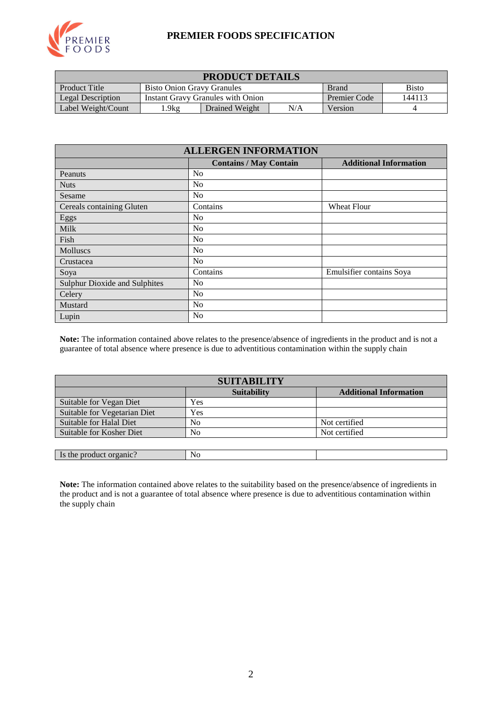

#### **PREMIER FOODS SPECIFICATION**

| <b>PRODUCT DETAILS</b> |                                                                   |                                   |  |  |        |
|------------------------|-------------------------------------------------------------------|-----------------------------------|--|--|--------|
| Product Title          | <b>Bisto Onion Gravy Granules</b><br><b>Bisto</b><br><b>Brand</b> |                                   |  |  |        |
| Legal Description      |                                                                   | Instant Gravy Granules with Onion |  |  | 144113 |
| Label Weight/Count     | N/A<br>.9kg<br>Drained Weight<br>Version                          |                                   |  |  |        |

| <b>ALLERGEN INFORMATION</b>          |                               |                               |  |  |  |
|--------------------------------------|-------------------------------|-------------------------------|--|--|--|
|                                      | <b>Contains / May Contain</b> | <b>Additional Information</b> |  |  |  |
| Peanuts                              | N <sub>0</sub>                |                               |  |  |  |
| <b>Nuts</b>                          | N <sub>o</sub>                |                               |  |  |  |
| Sesame                               | N <sub>o</sub>                |                               |  |  |  |
| Cereals containing Gluten            | Contains                      | Wheat Flour                   |  |  |  |
| Eggs                                 | N <sub>o</sub>                |                               |  |  |  |
| <b>Milk</b>                          | N <sub>0</sub>                |                               |  |  |  |
| Fish                                 | N <sub>o</sub>                |                               |  |  |  |
| Molluscs                             | N <sub>0</sub>                |                               |  |  |  |
| Crustacea                            | N <sub>o</sub>                |                               |  |  |  |
| Soya                                 | Contains                      | Emulsifier contains Soya      |  |  |  |
| <b>Sulphur Dioxide and Sulphites</b> | N <sub>0</sub>                |                               |  |  |  |
| Celery                               | N <sub>o</sub>                |                               |  |  |  |
| Mustard                              | N <sub>0</sub>                |                               |  |  |  |
| Lupin                                | N <sub>0</sub>                |                               |  |  |  |

**Note:** The information contained above relates to the presence/absence of ingredients in the product and is not a guarantee of total absence where presence is due to adventitious contamination within the supply chain

| <b>SUITABILITY</b>           |                    |                               |  |  |
|------------------------------|--------------------|-------------------------------|--|--|
|                              | <b>Suitability</b> | <b>Additional Information</b> |  |  |
| Suitable for Vegan Diet      | Yes                |                               |  |  |
| Suitable for Vegetarian Diet | Yes                |                               |  |  |
| Suitable for Halal Diet      | N <sub>0</sub>     | Not certified                 |  |  |
| Suitable for Kosher Diet     | No                 | Not certified                 |  |  |
|                              |                    |                               |  |  |

**Note:** The information contained above relates to the suitability based on the presence/absence of ingredients in the product and is not a guarantee of total absence where presence is due to adventitious contamination within the supply chain

Is the product organic? No